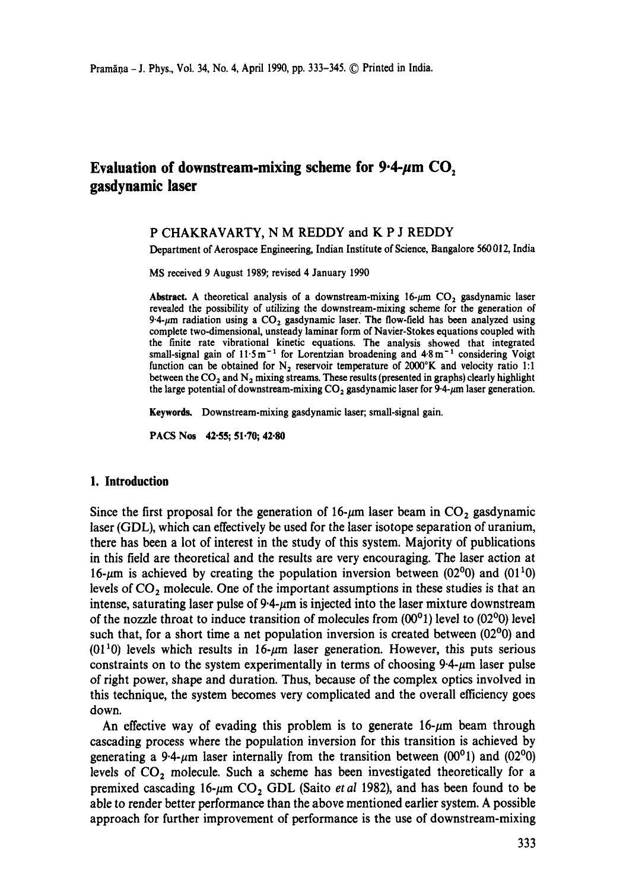# Evaluation of downstream-mixing scheme for  $9.4\text{-}\mu\text{m CO}$ , **gasdynamic laser**

## P CHAKRAVARTY, N M REDDY and K P J REDDY

Department of Aerospace Engineering, Indian Institute of Science, Bangalore 560 012, India

MS received 9 August 1989; revised 4 January 1990

Abstract. A theoretical analysis of a downstream-mixing 16- $\mu$ m CO<sub>2</sub> gasdynamic laser revealed the possibility of utilizing the downstream-mixing scheme for the generation of 9.4- $\mu$ m radiation using a CO<sub>2</sub> gasdynamic laser. The flow-field has been analyzed using complete two-dimensional, unsteady laminar form of Navier-Stokes equations coupled with the finite rate vibrational kinetic equations. The analysis showed that integrated small-signal gain of  $11.5 \text{ m}^{-1}$  for Lorentzian broadening and  $4.8 \text{ m}^{-1}$  considering Voigt function can be obtained for  $N_2$  reservoir temperature of 2000°K and velocity ratio 1:1 between the  $CO_2$  and  $N_2$  mixing streams. These results (presented in graphs) clearly highlight the large potential of downstream-mixing  $CO<sub>2</sub>$  gasdynamic laser for 9.4- $\mu$ m laser generation.

Keywords. Downstream-mixing gasdynamic laser; small-signal gain.

PACS Nos 42-55; 51-70; 42-80

### **1. Introduction**

Since the first proposal for the generation of  $16\text{-}\mu\text{m}$  laser beam in  $CO_2$  gasdynamic laser (GDL), which can effectively be used for the laser isotope separation of uranium, there has been a lot of interest in the study of this system. Majority of publications in this field are theoretical and the results are very encouraging. The laser action at 16- $\mu$ m is achieved by creating the population inversion between (02<sup>0</sup>0) and (01<sup>1</sup>0) levels of  $CO<sub>2</sub>$  molecule. One of the important assumptions in these studies is that an intense, saturating laser pulse of  $9.4$ - $\mu$ m is injected into the laser mixture downstream of the nozzle throat to induce transition of molecules from  $(00^01)$  level to  $(02^00)$  level such that, for a short time a net population inversion is created between  $(02<sup>0</sup>0)$  and  $(01<sup>1</sup>0)$  levels which results in 16- $\mu$ m laser generation. However, this puts serious constraints on to the system experimentally in terms of choosing  $9.4\text{-}\mu\text{m}$  laser pulse of right power, shape and duration. Thus, because of the complex optics involved in this technique, the system becomes very complicated and the overall efficiency goes down.

An effective way of evading this problem is to generate  $16-\mu m$  beam through cascading process where the population inversion for this transition is achieved by generating a 9.4- $\mu$ m laser internally from the transition between (00<sup>o</sup>1) and (02<sup>o</sup>0) levels of  $CO<sub>2</sub>$  molecule. Such a scheme has been investigated theoretically for a premixed cascading  $16-\mu m CO_2$  GDL (Saito *et al 1982)*, and has been found to be able to render better performance than the above mentioned earlier system. A possible approach for further improvement of performance is the use of downstream-mixing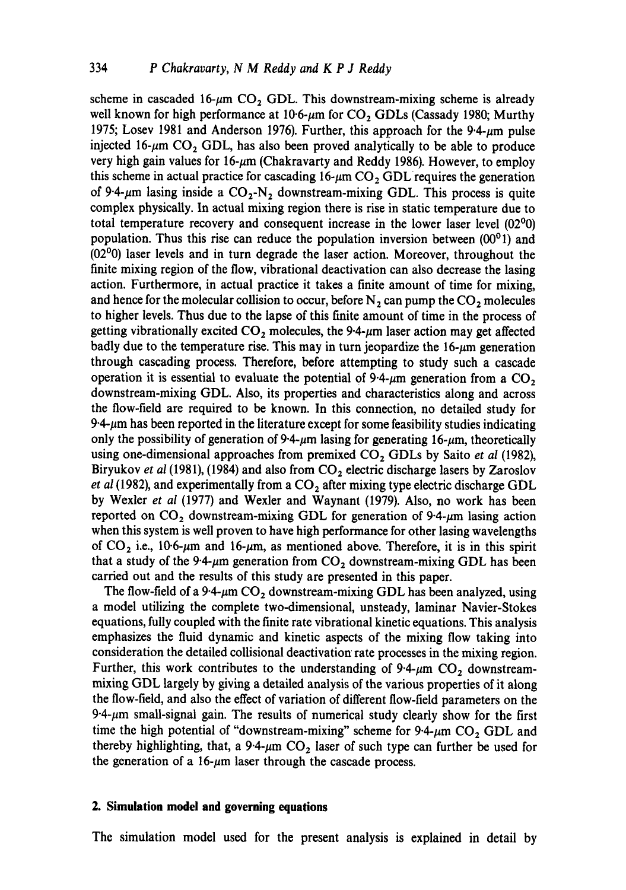scheme in cascaded 16- $\mu$ m CO<sub>2</sub> GDL. This downstream-mixing scheme is already well known for high performance at  $10.6$ - $\mu$ m for CO<sub>2</sub> GDLs (Cassady 1980; Murthy 1975; Losev 1981 and Anderson 1976). Further, this approach for the 9.4- $\mu$ m pulse injected 16- $\mu$ m CO<sub>2</sub> GDL, has also been proved analytically to be able to produce very high gain values for  $16-\mu m$  (Chakravarty and Reddy 1986). However, to employ this scheme in actual practice for cascading  $16-\mu m$  CO<sub>2</sub> GDL requires the generation of 9.4- $\mu$ m lasing inside a CO<sub>2</sub>-N<sub>2</sub> downstream-mixing GDL. This process is quite complex physically. In actual mixing region there is rise in static temperature due to total temperature recovery and consequent increase in the lower laser level (02°0) population. Thus this rise can reduce the population inversion between  $(00^01)$  and  $(02<sup>0</sup>0)$  laser levels and in turn degrade the laser action. Moreover, throughout the finite mixing region of the flow, vibrational deactivation can also decrease the lasing action. Furthermore, in actual practice it takes a finite amount of time for mixing, and hence for the molecular collision to occur, before  $N_2$  can pump the  $CO_2$  molecules to higher levels. Thus due to the lapse of this finite amount of time in the process of getting vibrationally excited  $CO_2$  molecules, the 9.4- $\mu$ m laser action may get affected badly due to the temperature rise. This may in turn jeopardize the  $16-\mu m$  generation through cascading process. Therefore, before attempting to study such a cascade operation it is essential to evaluate the potential of  $9.4-\mu m$  generation from a CO<sub>2</sub> downstream-mixing GDL. Also, its properties and characteristics along and across the flow-field are required to be known. In this connection, no detailed study for  $9.4\text{-}\mu\text{m}$  has been reported in the literature except for some feasibility studies indicating only the possibility of generation of  $9.4-\mu m$  lasing for generating 16- $\mu m$ , theoretically using one-dimensional approaches from premixed CO<sub>2</sub> GDLs by Saito *et al* (1982), Biryukov *et al* (1981), (1984) and also from CO<sub>2</sub> electric discharge lasers by Zaroslov *et al* (1982), and experimentally from a  $CO<sub>2</sub>$  after mixing type electric discharge GDL by Wexler *et al* (1977) and Wexler and Waynant (1979). Also, no work has been reported on  $CO<sub>2</sub>$  downstream-mixing GDL for generation of 9.4- $\mu$ m lasing action when this system is well proven to have high performance for other lasing wavelengths of  $CO_2$  i.e., 10.6- $\mu$ m and 16- $\mu$ m, as mentioned above. Therefore, it is in this spirit that a study of the 9.4- $\mu$ m generation from CO<sub>2</sub> downstream-mixing GDL has been carried out and the results of this study are presented in this paper.

The flow-field of a 9.4- $\mu$ m CO<sub>2</sub> downstream-mixing GDL has been analyzed, using a model utilizing the complete two-dimensional, unsteady, laminar Navier-Stokes equations, fully coupled with the finite rate vibrational kinetic equations. This analysis emphasizes the fluid dynamic and kinetic aspects of the mixing flow taking into consideration the detailed collisional deactivation rate processes in the mixing region. Further, this work contributes to the understanding of  $9.4\text{-}\mu\text{m CO}$ , downstreammixing GDL largely by giving a detailed analysis of the various properties of it along the flow-field, and also the effect of variation of different flow-field parameters on the  $9.4\text{-}\mu\text{m}$  small-signal gain. The results of numerical study clearly show for the first time the high potential of "downstream-mixing" scheme for  $9.4\text{-}\mu\text{m}$  CO<sub>2</sub> GDL and thereby highlighting, that, a 9.4- $\mu$ m CO<sub>2</sub> laser of such type can further be used for the generation of a 16- $\mu$ m laser through the cascade process.

### **2. Simulation model and governing equations**

**The simulation model used for the present analysis is explained in detail by**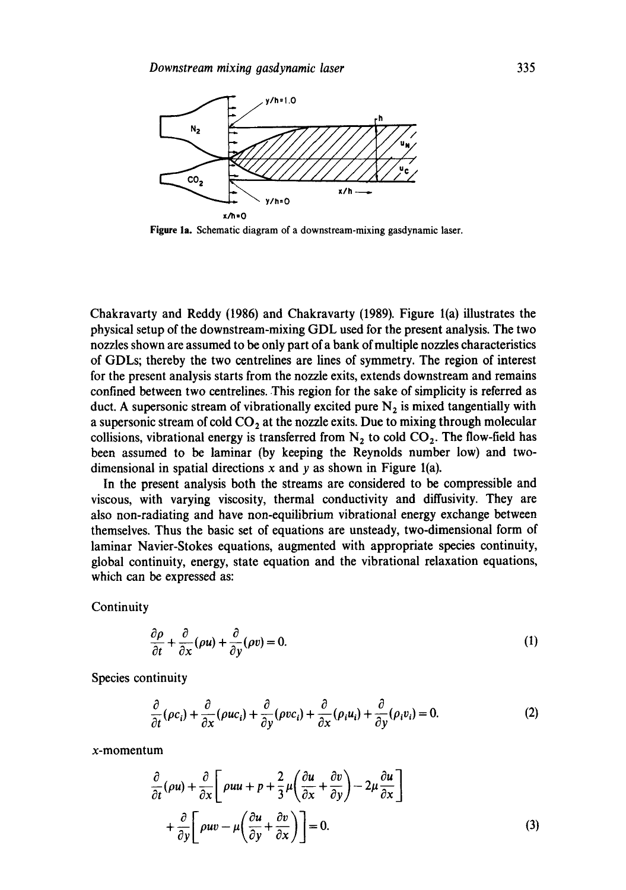

**Figure** la. Schematic diagram of a downstream-mixing gasdynamic laser.

Chakravarty and Reddy (1986) and Chakravarty (1989). Figure l(a) illustrates the physical setup of the downstream-mixing GDL used for the present analysis. The two nozzles shown are assumed to be only part of a bank of multiple nozzles characteristics of GDLs; thereby the two centrelines are lines of symmetry. The region of interest for the present analysis starts from the nozzle exits, extends downstream and remains confined between two centrelines. This region for the sake of simplicity is referred as duct. A supersonic stream of vibrationally excited pure  $N_2$  is mixed tangentially with a supersonic stream of cold  $CO<sub>2</sub>$  at the nozzle exits. Due to mixing through molecular collisions, vibrational energy is transferred from  $N_2$  to cold  $CO_2$ . The flow-field has been assumed to be laminar (by keeping the Reynolds number low) and twodimensional in spatial directions  $x$  and  $y$  as shown in Figure 1(a).

In the present analysis both the streams are considered to be compressible and viscous, with varying viscosity, thermal conductivity and diffusivity. They are also non-radiating and have non-equilibrium vibrational energy exchange between themselves. Thus the basic set of equations are unsteady, two-dimensional form of laminar Navier-Stokes equations, augmented with appropriate species continuity, global continuity, energy, state equation and the vibrational relaxation equations, which can be expressed as:

**Continuity** 

$$
\frac{\partial \rho}{\partial t} + \frac{\partial}{\partial x}(\rho u) + \frac{\partial}{\partial y}(\rho v) = 0.
$$
 (1)

Species continuity

$$
\frac{\partial}{\partial t}(\rho c_i) + \frac{\partial}{\partial x}(\rho uc_i) + \frac{\partial}{\partial y}(\rho vc_i) + \frac{\partial}{\partial x}(\rho_i u_i) + \frac{\partial}{\partial y}(\rho_i v_i) = 0.
$$
 (2)

x-momentum

$$
\frac{\partial}{\partial t}(\rho u) + \frac{\partial}{\partial x} \left[ \rho u u + p + \frac{2}{3} \mu \left( \frac{\partial u}{\partial x} + \frac{\partial v}{\partial y} \right) - 2 \mu \frac{\partial u}{\partial x} \right] \n+ \frac{\partial}{\partial y} \left[ \rho u v - \mu \left( \frac{\partial u}{\partial y} + \frac{\partial v}{\partial x} \right) \right] = 0.
$$
\n(3)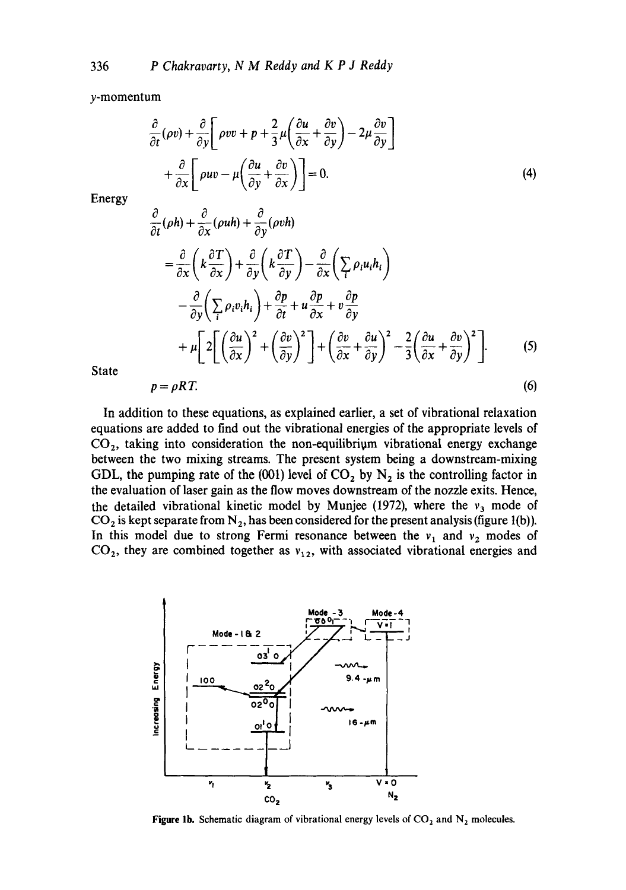y-momentum

$$
\frac{\partial}{\partial t}(\rho v) + \frac{\partial}{\partial y} \left[ \rho v v + p + \frac{2}{3} \mu \left( \frac{\partial u}{\partial x} + \frac{\partial v}{\partial y} \right) - 2 \mu \frac{\partial v}{\partial y} \right] \n+ \frac{\partial}{\partial x} \left[ \rho u v - \mu \left( \frac{\partial u}{\partial y} + \frac{\partial v}{\partial x} \right) \right] = 0.
$$
\n(4)

Energy

$$
\frac{\partial}{\partial t}(\rho h) + \frac{\partial}{\partial x}(\rho uh) + \frac{\partial}{\partial y}(\rho vh) \n= \frac{\partial}{\partial x}\left(k\frac{\partial T}{\partial x}\right) + \frac{\partial}{\partial y}\left(k\frac{\partial T}{\partial y}\right) - \frac{\partial}{\partial x}\left(\sum_{i}\rho_{i}u_{i}h_{i}\right) \n- \frac{\partial}{\partial y}\left(\sum_{i}\rho_{i}v_{i}h_{i}\right) + \frac{\partial p}{\partial t} + u\frac{\partial p}{\partial x} + v\frac{\partial p}{\partial y} \n+ \mu\left[2\left[\left(\frac{\partial u}{\partial x}\right)^{2} + \left(\frac{\partial v}{\partial y}\right)^{2}\right] + \left(\frac{\partial v}{\partial x} + \frac{\partial u}{\partial y}\right)^{2} - \frac{2}{3}\left(\frac{\partial u}{\partial x} + \frac{\partial v}{\partial y}\right)^{2}\right].
$$
\n(5)

State

 $p = \rho RT.$  (6)

In addition to these equations, as explained earlier, a set of vibrational relaxation equations are added to find out the vibrational energies of the appropriate levels of  $CO<sub>2</sub>$ , taking into consideration the non-equilibrium vibrational energy exchange between the two mixing streams. The present system being a downstream-mixing GDL, the pumping rate of the (001) level of  $CO_2$  by  $N_2$  is the controlling factor in the evaluation of laser gain as the flow moves downstream of the nozzle exits. Hence, the detailed vibrational kinetic model by Munjee (1972), where the  $v_3$  mode of  $CO<sub>2</sub>$  is kept separate from N<sub>2</sub>, has been considered for the present analysis (figure 1(b)). In this model due to strong Fermi resonance between the  $v_1$  and  $v_2$  modes of  $CO<sub>2</sub>$ , they are combined together as  $v<sub>12</sub>$ , with associated vibrational energies and



Figure 1b. Schematic diagram of vibrational energy levels of CO<sub>2</sub> and N<sub>2</sub> molecules.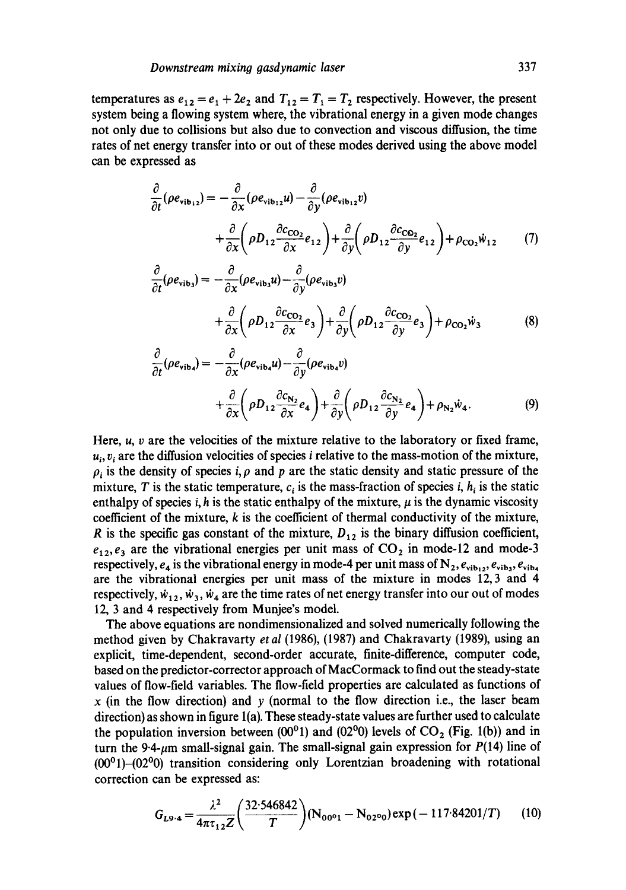temperatures as  $e_{12} = e_1 + 2e_2$  and  $T_{12} = T_1 = T_2$  respectively. However, the present system being a flowing system where, the vibrational energy in a given mode changes not only due to collisions but also due to convection and viscous diffusion, the time rates of net energy transfer into or out of these modes derived using the above model can be expressed as

$$
\frac{\partial}{\partial t}(\rho e_{\text{vib}_{12}}) = -\frac{\partial}{\partial x}(\rho e_{\text{vib}_{12}}u) - \frac{\partial}{\partial y}(\rho e_{\text{vib}_{12}}v) \n+ \frac{\partial}{\partial x}(\rho D_{12}\frac{\partial c_{\text{CO}_2}}{\partial x}e_{12}) + \frac{\partial}{\partial y}(\rho D_{12}\frac{\partial c_{\text{CO}_2}}{\partial y}e_{12}) + \rho_{\text{CO}_2}\dot{w}_{12}
$$
\n(7)

$$
\frac{\partial}{\partial t}(\rho e_{\text{vib}_3}) = -\frac{\partial}{\partial x}(\rho e_{\text{vib}_3}u) - \frac{\partial}{\partial y}(\rho e_{\text{vib}_3}v) \n+ \frac{\partial}{\partial x}(\rho D_{12}\frac{\partial c_{\text{CO}_2}}{\partial x}e_3) + \frac{\partial}{\partial y}(\rho D_{12}\frac{\partial c_{\text{CO}_2}}{\partial y}e_3) + \rho_{\text{CO}_2}\dot{w}_3
$$
\n(8)

$$
\frac{\partial}{\partial t}(\rho e_{\text{vib4}}) = -\frac{\partial}{\partial x}(\rho e_{\text{vib4}}u) - \frac{\partial}{\partial y}(\rho e_{\text{vib4}}v) \n+ \frac{\partial}{\partial x}(\rho D_{12} \frac{\partial c_{\text{N}_2}}{\partial x} e_4) + \frac{\partial}{\partial y}(\rho D_{12} \frac{\partial c_{\text{N}_2}}{\partial y} e_4) + \rho_{\text{N}_2} \dot{w}_4.
$$
\n(9)

Here,  $u, v$  are the velocities of the mixture relative to the laboratory or fixed frame,  $u_i, v_i$  are the diffusion velocities of species *i* relative to the mass-motion of the mixture,  $\rho_i$  is the density of species i,  $\rho$  and p are the static density and static pressure of the mixture, T is the static temperature,  $c_i$  is the mass-fraction of species i,  $h_i$  is the static enthalpy of species i, h is the static enthalpy of the mixture,  $\mu$  is the dynamic viscosity coefficient of the mixture,  $k$  is the coefficient of thermal conductivity of the mixture, R is the specific gas constant of the mixture,  $D_{12}$  is the binary diffusion coefficient,  $e_{12}, e_3$  are the vibrational energies per unit mass of  $CO_2$  in mode-12 and mode-3 respectively,  $e_4$  is the vibrational energy in mode-4 per unit mass of N<sub>2</sub>,  $e_{vib_1}$ ,  $e_{vib_3}$ ,  $e_{vib_4}$ are the vibrational energies per unit mass of the mixture in modes 12, 3 and 4 respectively,  $\dot{w}_1$ ,  $\dot{w}_3$ ,  $\dot{w}_4$  are the time rates of net energy transfer into our out of modes 12, 3 and 4 respectively from Munjee's model.

The above equations are nondimensionalized and solved numerically following the method given by Chakravarty *et al* (1986), (1987) and Chakravarty (1989), using an explicit, time-dependent, second-order accurate, finite-difference, computer code, based on the predictor-corrector approach of MacCormack to find out the steady-state values of flow-field variables. The flow-field properties are calculated as functions of x (in the flow direction) and y (normal to the flow direction i.e., the laser beam direction) as shown in figure l(a). These steady-state values are further used to calculate the population inversion between  $(00<sup>0</sup>1)$  and  $(02<sup>0</sup>0)$  levels of CO<sub>2</sub> (Fig. 1(b)) and in turn the 9.4- $\mu$ m small-signal gain. The small-signal gain expression for  $P(14)$  line of  $(00<sup>0</sup>1)$ - $(02<sup>0</sup>0)$  transition considering only Lorentzian broadening with rotational correction can be expressed as:

$$
G_{L9.4} = \frac{\lambda^2}{4\pi\tau_{12}Z} \left(\frac{32.546842}{T}\right) (N_{00^01} - N_{02^00}) \exp(-117.84201/T) \tag{10}
$$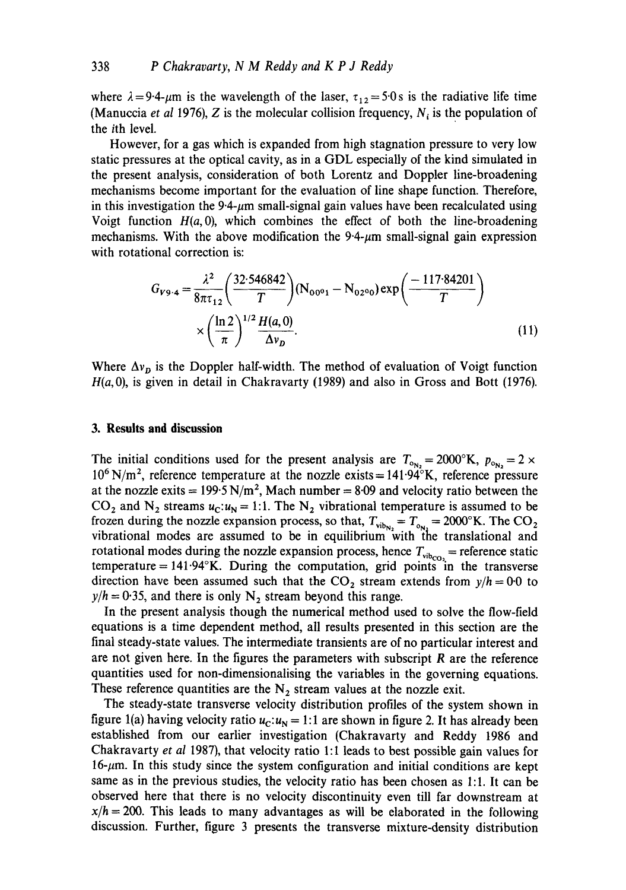where  $\lambda = 9.4$ - $\mu$ m is the wavelength of the laser,  $\tau_{12} = 5.0$  s is the radiative life time (Manuccia *et al 1976)*, Z is the molecular collision frequency,  $N_i$  is the population of the ith level.

However, for a gas which is expanded from high stagnation pressure to very low static pressures at the optical cavity, as in a GDL especially of the kind simulated in the present analysis, consideration of both Lorentz and Doppler line-broadening mechanisms become important for the evaluation of line shape function. Therefore, in this investigation the 9.4- $\mu$ m small-signal gain values have been recalculated using Voigt function  $H(a,0)$ , which combines the effect of both the line-broadening mechanisms. With the above modification the  $9.4\text{-}\mu\text{m}$  small-signal gain expression with rotational correction is:

$$
G_{V9.4} = \frac{\lambda^2}{8\pi\tau_{12}} \left(\frac{32.546842}{T}\right) (N_{0001} - N_{0200}) exp\left(\frac{-117.84201}{T}\right)
$$
  
×  $\left(\frac{\ln 2}{\pi}\right)^{1/2} \frac{H(a,0)}{\Delta v_D}.$  (11)

Where  $\Delta v_D$  is the Doppler half-width. The method of evaluation of Voigt function *H(a,O),* is given in detail in Chakravarty (1989) and also in Gross and Bott (1976).

# **3. Results and discussion**

The initial conditions used for the present analysis are  $T_{o_N} = 2000$ °K,  $p_{o_N} = 2 \times$  $10^6$  N/m<sup>2</sup>, reference temperature at the nozzle exists =  $141.94$ °K, reference pressure at the nozzle exits =  $199.5 \text{ N/m}^2$ , Mach number = 8.09 and velocity ratio between the CO<sub>2</sub> and N<sub>2</sub> streams  $u_c$ : $u_N$  = 1:1. The N<sub>2</sub> vibrational temperature is assumed to be frozen during the nozzle expansion process, so that,  $T_{\text{vib}_{N_2}} = T_{\text{o}_{N_2}} = 2000 \text{°K}$ . The CO<sub>2</sub> vibrational modes are assumed to be in equilibrium with the translational and rotational modes during the nozzle expansion process, hence  $T_{\text{vib}_{CO_2}}$  = reference static temperature =  $141.94^\circ$ K. During the computation, grid points in the transverse direction have been assumed such that the  $CO_2$  stream extends from  $y/h = 0.0$  to  $y/h = 0.35$ , and there is only N<sub>2</sub> stream beyond this range.

In the present analysis though the numerical method used to solve the flow-field equations is a time dependent method, all results presented in this section are the final steady-state values. The intermediate transients are of no particular interest and are not given here. In the figures the parameters with subscript  *are the reference* quantities used for non-dimensionalising the variables in the governing equations. These reference quantities are the  $N_2$  stream values at the nozzle exit.

The steady-state transverse velocity distribution profiles of the system shown in figure 1(a) having velocity ratio  $u_c$ :  $u_N$  = 1:1 are shown in figure 2. It has already been established from our earlier investigation (Chakravarty and Reddy 1986 and Chakravarty *et al* 1987), that velocity ratio 1:1 leads to best possible gain values for  $16$ - $\mu$ m. In this study since the system configuration and initial conditions are kept same as in the previous studies, the velocity ratio has been chosen as 1:1. It can be observed here that there is no velocity discontinuity even till far downstream at  $x/h = 200$ . This leads to many advantages as will be elaborated in the following discussion. Further, figure 3 presents the transverse mixture-density distribution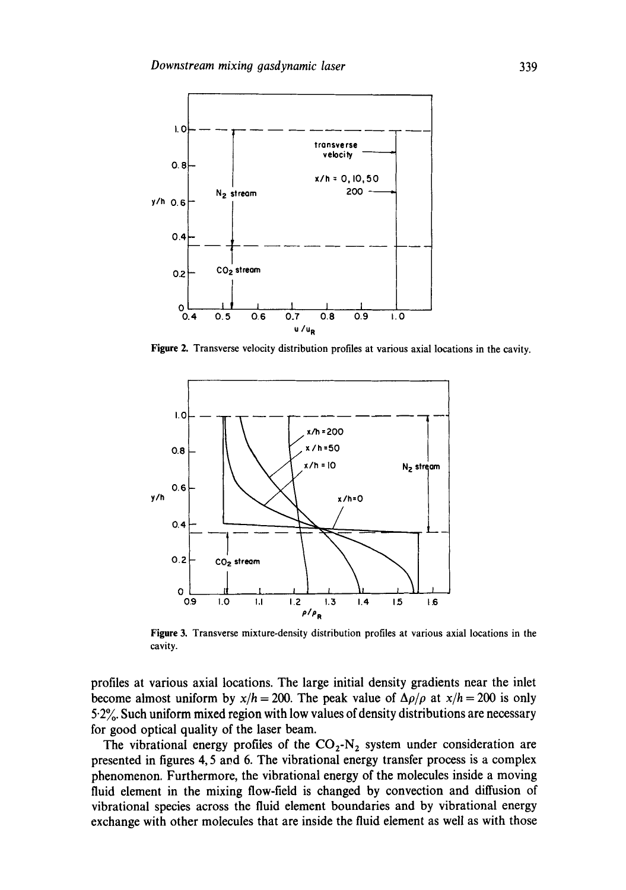

Figure 2. Transverse velocity distribution profiles at various axial locations in the cavity.



Figure 3. Transverse mixture-density distribution profiles at various axial locations in the cavity.

profiles at various axial locations. The large initial density gradients near the inlet become almost uniform by  $x/h = 200$ . The peak value of  $\Delta \rho / \rho$  at  $x/h = 200$  is only  $5.2\%$ . Such uniform mixed region with low values of density distributions are necessary for good optical quality of the laser beam.

The vibrational energy profiles of the  $CO_2-N_2$  system under consideration are presented in figures 4, 5 and 6. The vibrational energy transfer process is a complex phenomenon. Furthermore, the vibrational energy of the molecules inside a moving fluid element in the mixing flow-field is changed by convection and diffusion of vibrational species across the fluid element boundaries and by vibrational energy exchange with other molecules that are inside the fluid element as well as with those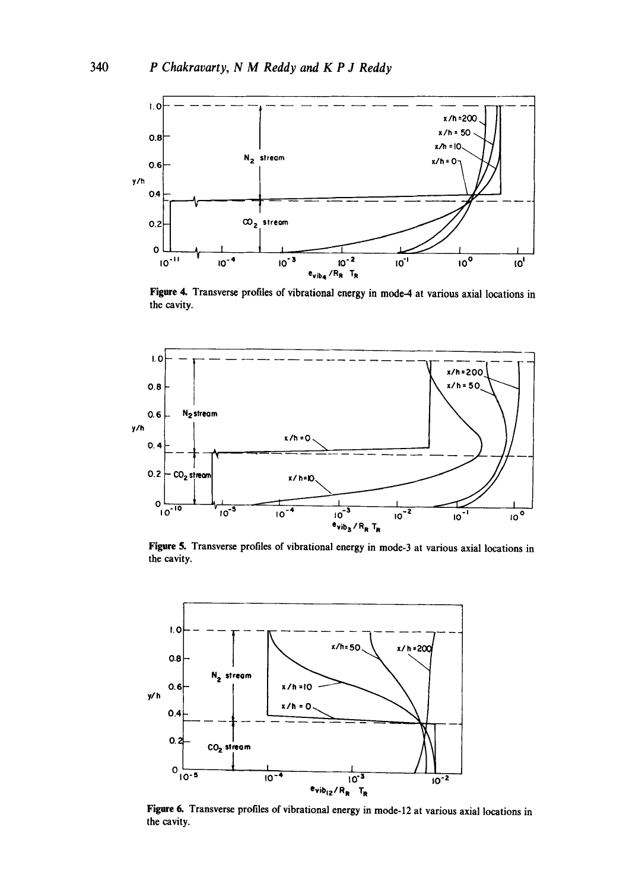

Figure 4. Transverse profiles of vibrational energy in mode-4 at various axial locations in the cavity.



Figure 5. Transverse profiles of vibrational energy in mode-3 at various axial locations in the cavity.



Figure 6. Transverse profiles of vibrational energy in mode-12 at various axial locations in the cavity.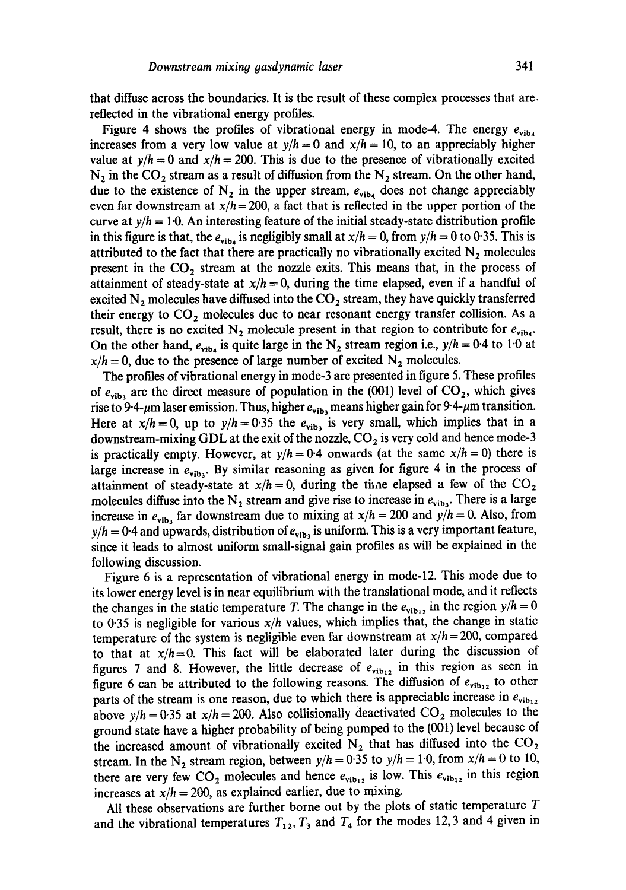that diffuse across the boundaries. It is the result of these complex processes that are, reflected in the vibrational energy profiles.

Figure 4 shows the profiles of vibrational energy in mode-4. The energy  $e_{vih}$ increases from a very low value at  $y/h = 0$  and  $x/h = 10$ , to an appreciably higher value at  $y/h = 0$  and  $x/h = 200$ . This is due to the presence of vibrationally excited  $N_2$  in the CO<sub>2</sub> stream as a result of diffusion from the  $N_2$  stream. On the other hand, due to the existence of  $N_2$  in the upper stream,  $e_{vib4}$  does not change appreciably even far downstream at  $x/h = 200$ , a fact that is reflected in the upper portion of the curve at  $y/h = 1.0$ . An interesting feature of the initial steady-state distribution profile in this figure is that, the  $e_{vib_4}$  is negligibly small at  $x/h = 0$ , from  $y/h = 0$  to 0.35. This is attributed to the fact that there are practically no vibrationally excited  $N_2$  molecules present in the  $CO<sub>2</sub>$  stream at the nozzle exits. This means that, in the process of attainment of steady-state at  $x/h = 0$ , during the time elapsed, even if a handful of excited  $N_2$  molecules have diffused into the  $CO_2$  stream, they have quickly transferred their energy to  $CO<sub>2</sub>$  molecules due to near resonant energy transfer collision. As a result, there is no excited  $N_2$  molecule present in that region to contribute for  $e_{vib_4}$ . On the other hand,  $e_{vib_4}$  is quite large in the N<sub>2</sub> stream region i.e.,  $y/h = 0.4$  to 1.0 at  $x/h = 0$ , due to the presence of large number of excited N<sub>2</sub> molecules.

The profiles of vibrational energy in mode-3 are presented in figure 5. These profiles of  $e_{vib_3}$  are the direct measure of population in the (001) level of  $CO_2$ , which gives rise to 9.4- $\mu$ m laser emission. Thus, higher  $e_{vib}$ , means higher gain for 9.4- $\mu$ m transition. Here at  $x/h = 0$ , up to  $y/h = 0.35$  the  $e_{vib}$  is very small, which implies that in a downstream-mixing GDL at the exit of the nozzle,  $CO<sub>2</sub>$  is very cold and hence mode-3 is practically empty. However, at  $y/h = 0.4$  onwards (at the same  $x/h = 0$ ) there is large increase in  $e_{vib}$ . By similar reasoning as given for figure 4 in the process of attainment of steady-state at  $x/h = 0$ , during the time elapsed a few of the CO<sub>2</sub> molecules diffuse into the  $N_2$  stream and give rise to increase in  $e_{vib_3}$ . There is a large increase in  $e_{vib}$  far downstream due to mixing at  $x/h = 200$  and  $y/h = 0$ . Also, from  $y/h = 0.4$  and upwards, distribution of  $e_{vib_3}$  is uniform. This is a very important feature, since it leads to almost uniform small-signal gain profiles as will be explained in the following discussion.

Figure 6 is a representation of vibrational energy in mode-12. This mode due to its lower energy level is in near equilibrium with the translational mode, and it reflects the changes in the static temperature T. The change in the  $e_{vib_{12}}$  in the region  $y/h = 0$ to 0.35 is negligible for various *x/h* values, which implies that, the change in static temperature of the system is negligible even far downstream at  $x/h = 200$ , compared to that at  $x/h = 0$ . This fact will be elaborated later during the discussion of figures 7 and 8. However, the little decrease of  $e_{vib_{12}}$  in this region as seen in figure 6 can be attributed to the following reasons. The diffusion of  $e_{vib_{12}}$  to other parts of the stream is one reason, due to which there is appreciable increase in  $e_{vib_{12}}$ above  $y/h = 0.35$  at  $x/h = 200$ . Also collisionally deactivated  $CO_2$  molecules to the ground state have a higher probability of being pumped to the (001) level because of the increased amount of vibrationally excited  $N_2$  that has diffused into the  $CO_2$ stream. In the N<sub>2</sub> stream region, between  $y/h = 0.35$  to  $y/h = 1.0$ , from  $x/h = 0$  to 10, there are very few  $CO_2$  molecules and hence  $e_{vib_{12}}$  is low. This  $e_{vib_{12}}$  in this region increases at  $x/h = 200$ , as explained earlier, due to mixing.

All these observations are further borne out by the plots of static temperature T and the vibrational temperatures  $T_{12}$ ,  $T_3$  and  $T_4$  for the modes 12, 3 and 4 given in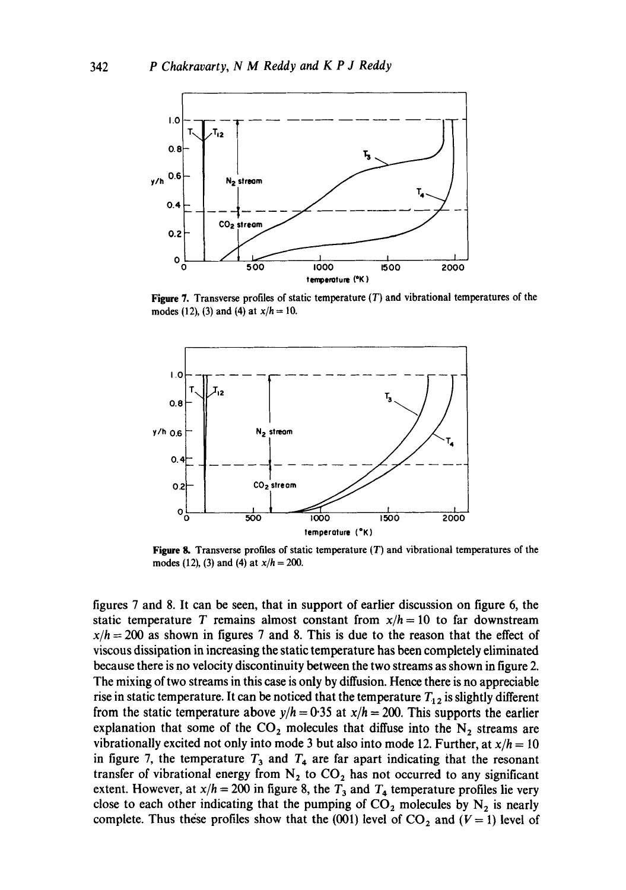

**Figure** 7. Transverse profiles of static temperature (T) and vibrational temperatures of the modes (12), (3) and (4) at *x/h* = 10.



**Figure** 8. Transverse profiles of static temperature (T) and vibrational temperatures of the modes (12), (3) and (4) at *x/h = 200.* 

figures 7 and 8. It can be seen, that in support of earlier discussion on figure 6, the static temperature T remains almost constant from  $x/h = 10$  to far downstream  $x/h = 200$  as shown in figures 7 and 8. This is due to the reason that the effect of viscous dissipation in increasing the static temperature has been completely eliminated because there is no velocity discontinuity between the two streams as shown in figure 2. The mixing of two streams in this case is only by diffusion. Hence there is no appreciable rise in static temperature. It can be noticed that the temperature  $T_{12}$  is slightly different from the static temperature above  $y/h = 0.35$  at  $x/h = 200$ . This supports the earlier explanation that some of the  $CO_2$  molecules that diffuse into the N<sub>2</sub> streams are vibrationally excited not only into mode 3 but also into mode 12. Further, at  $x/h = 10$ in figure 7, the temperature  $T_3$  and  $T_4$  are far apart indicating that the resonant transfer of vibrational energy from  $N_2$  to  $CO_2$  has not occurred to any significant extent. However, at  $x/h = 200$  in figure 8, the  $T_3$  and  $T_4$  temperature profiles lie very close to each other indicating that the pumping of  $CO_2$  molecules by  $N_2$  is nearly complete. Thus these profiles show that the (001) level of  $CO_2$  and ( $V = 1$ ) level of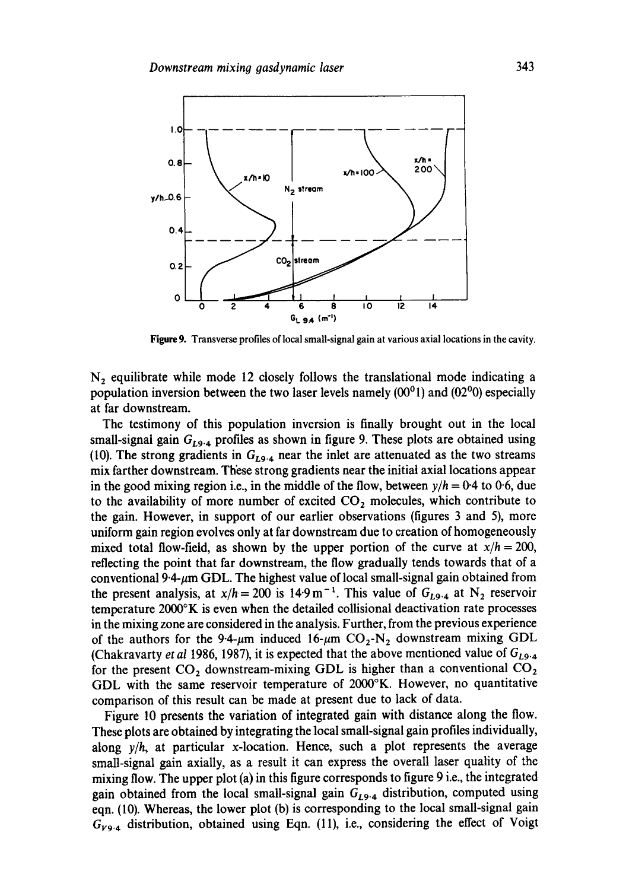

**Figure** 9. Transverse profiles of local small-signal gain at various axial locations in the cavity.

 $N<sub>2</sub>$  equilibrate while mode 12 closely follows the translational mode indicating a population inversion between the two laser levels namely  $(00<sup>0</sup>1)$  and  $(02<sup>0</sup>0)$  especially at far downstream.

The testimony of this population inversion is finally brought out in the local small-signal gain  $G_{L9.4}$  profiles as shown in figure 9. These plots are obtained using (10). The strong gradients in  $G_{l,9.4}$  near the inlet are attenuated as the two streams mix farther downstream. These strong gradients near the initial axial locations appear in the good mixing region i.e., in the middle of the flow, between  $y/h = 0.4$  to 0.6, due to the availability of more number of excited  $CO<sub>2</sub>$  molecules, which contribute to the gain. However, in support of our earlier observations (figures 3 and 5), more uniform gain region evolves only at far downstream due to creation of homogeneously mixed total flow-field, as shown by the upper portion of the curve at  $x/h = 200$ , reflecting the point that far downstream, the flow gradually tends towards that of a conventional 9.4- $\mu$ m GDL. The highest value of local small-signal gain obtained from the present analysis, at  $x/h = 200$  is 14.9 m<sup>-1</sup>. This value of  $G_{L9.4}$  at N<sub>2</sub> reservoir temperature 2000°K is even when the detailed collisional deactivation rate processes in the mixing zone are considered in the analysis. Further, from the previous experience of the authors for the 9.4- $\mu$ m induced 16- $\mu$ m CO<sub>2</sub>-N<sub>2</sub> downstream mixing GDL (Chakravarty *et al 1986, 1987), it is expected that the above mentioned value of*  $G_{L9.4}$ for the present  $CO_2$  downstream-mixing GDL is higher than a conventional  $CO_2$ GDL with the same reservoir temperature of 2000°K. However, no quantitative comparison of this result can be made at present due to lack of data.

Figure 10 presents the variation of integrated gain with distance along the flow. These plots are obtained by integrating the local small-signal gain profiles individually, along *y/h,* at particular x-location. Hence, such a plot represents the average small-signal gain axially, as a result it can express the overall laser quality of the mixing flow. The upper plot (a) in this figure corresponds to figure 9 i.e., the integrated gain obtained from the local small-signal gain  $G_{L9.4}$  distribution, computed using eqn. (10). Whereas, the lower plot (b) is corresponding to the local small-signal gain  $G_{V9.4}$  distribution, obtained using Eqn. (11), i.e., considering the effect of Voigt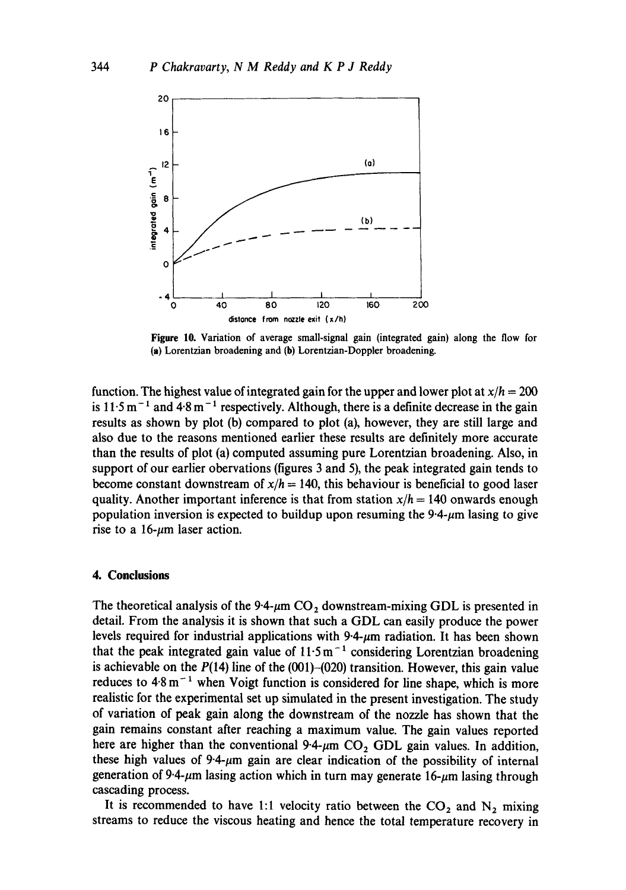

**Figure** 10. Variation of average small-signal gain (integrated gain) along the flow for (a) Lorentzian broadening and (b) Lorentzian-Doppler broadening.

function. The highest value of integrated gain for the upper and lower plot at  $x/h = 200$ is  $11 \cdot 5 \text{ m}^{-1}$  and  $4 \cdot 8 \text{ m}^{-1}$  respectively. Although, there is a definite decrease in the gain results as shown by plot (b) compared to plot (a), however, they are still large and also due to the reasons mentioned earlier these results are definitely more accurate than the results of plot (a) computed assuming pure Lorentzian broadening. Also, in support of our earlier obervations (figures 3 and 5), the peak integrated gain tends to become constant downstream of  $x/h = 140$ , this behaviour is beneficial to good laser quality. Another important inference is that from station  $x/h = 140$  onwards enough population inversion is expected to buildup upon resuming the  $9.4\text{-}\mu\text{m}$  lasing to give rise to a 16- $\mu$ m laser action.

#### **4. Conclusions**

The theoretical analysis of the 9.4- $\mu$ m CO<sub>2</sub> downstream-mixing GDL is presented in detail. From the analysis it is shown that such a GDL can easily produce the power levels required for industrial applications with  $9.4-\mu m$  radiation. It has been shown that the peak integrated gain value of  $11.5 \text{ m}^{-1}$  considering Lorentzian broadening is achievable on the  $P(14)$  line of the  $(001)$ - $(020)$  transition. However, this gain value reduces to  $4.8 \text{ m}^{-1}$  when Voigt function is considered for line shape, which is more realistic for the experimental set up simulated in the present investigation. The study of variation of peak gain along the downstream of the nozzle has shown that the gain remains constant after reaching a maximum value. The gain values reported here are higher than the conventional 9.4- $\mu$ m CO<sub>2</sub> GDL gain values. In addition, these high values of  $9.4\text{-}\mu\text{m}$  gain are clear indication of the possibility of internal generation of 9.4- $\mu$ m lasing action which in turn may generate 16- $\mu$ m lasing through cascading process.

It is recommended to have 1:1 velocity ratio between the  $CO_2$  and  $N_2$  mixing streams to reduce the viscous heating and hence the total temperature recovery in